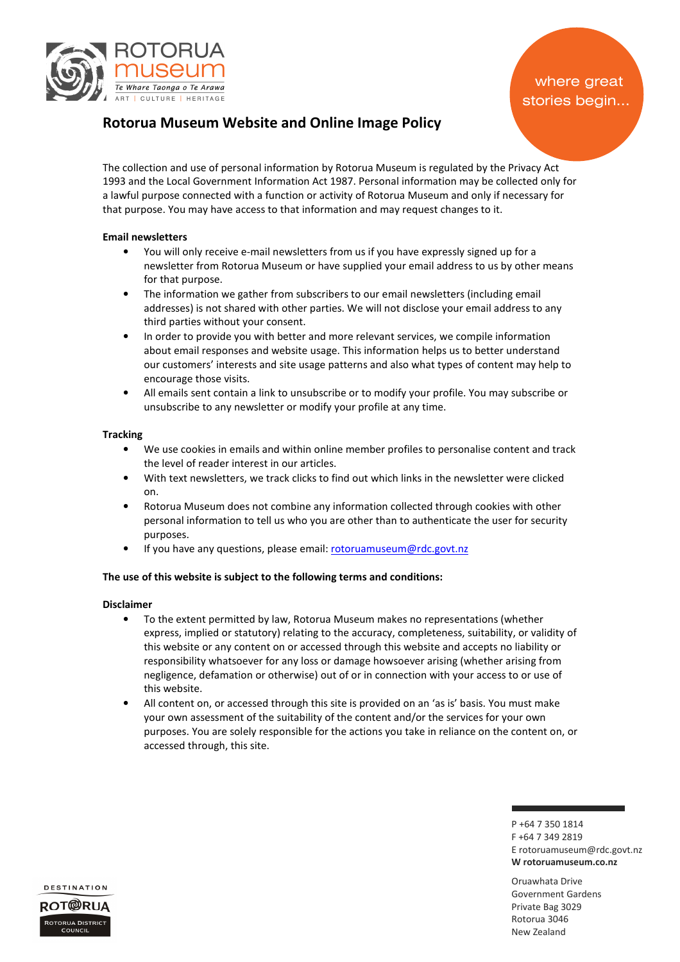

# Rotorua Museum Website and Online Image Policy

The collection and use of personal information by Rotorua Museum is regulated by the Privacy Act 1993 and the Local Government Information Act 1987. Personal information may be collected only for a lawful purpose connected with a function or activity of Rotorua Museum and only if necessary for that purpose. You may have access to that information and may request changes to it.

# Email newsletters

- You will only receive e-mail newsletters from us if you have expressly signed up for a newsletter from Rotorua Museum or have supplied your email address to us by other means for that purpose.
- The information we gather from subscribers to our email newsletters (including email addresses) is not shared with other parties. We will not disclose your email address to any third parties without your consent.
- In order to provide you with better and more relevant services, we compile information about email responses and website usage. This information helps us to better understand our customers' interests and site usage patterns and also what types of content may help to encourage those visits.
- All emails sent contain a link to unsubscribe or to modify your profile. You may subscribe or unsubscribe to any newsletter or modify your profile at any time.

# **Tracking**

- We use cookies in emails and within online member profiles to personalise content and track the level of reader interest in our articles.
- With text newsletters, we track clicks to find out which links in the newsletter were clicked on.
- Rotorua Museum does not combine any information collected through cookies with other personal information to tell us who you are other than to authenticate the user for security purposes.
- If you have any questions, please email: rotoruamuseum@rdc.govt.nz

# The use of this website is subject to the following terms and conditions:

#### Disclaimer

- To the extent permitted by law, Rotorua Museum makes no representations (whether express, implied or statutory) relating to the accuracy, completeness, suitability, or validity of this website or any content on or accessed through this website and accepts no liability or responsibility whatsoever for any loss or damage howsoever arising (whether arising from negligence, defamation or otherwise) out of or in connection with your access to or use of this website.
- All content on, or accessed through this site is provided on an 'as is' basis. You must make your own assessment of the suitability of the content and/or the services for your own purposes. You are solely responsible for the actions you take in reliance on the content on, or accessed through, this site.

P +64 7 350 1814 F +64 7 349 2819 E rotoruamuseum@rdc.govt.nz W rotoruamuseum.co.nz

Oruawhata Drive Government Gardens Private Bag 3029 Rotorua 3046 New Zealand